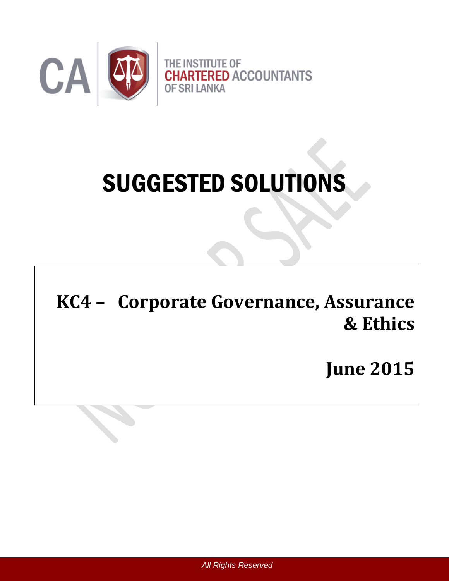

# SUGGESTED SOLUTIONS

# **KC4 – Corporate Governance, Assurance & Ethics**

## **June 2015**

*All Rights Reserved*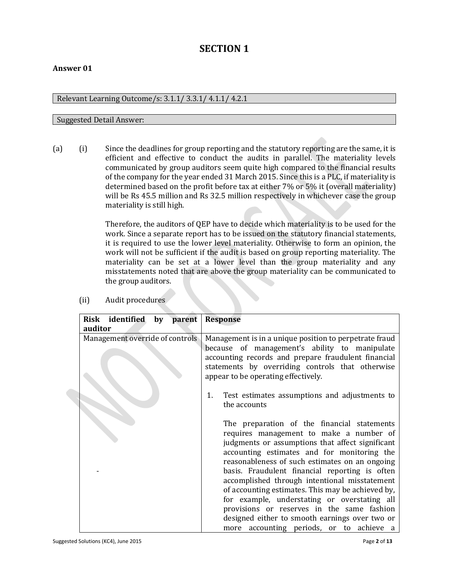### **SECTION 1**

#### **Answer 01**

#### Relevant Learning Outcome/s: 3.1.1/ 3.3.1/ 4.1.1/ 4.2.1

#### Suggested Detail Answer:

(a) (i) Since the deadlines for group reporting and the statutory reporting are the same, it is efficient and effective to conduct the audits in parallel. The materiality levels communicated by group auditors seem quite high compared to the financial results of the company for the year ended 31 March 2015. Since this is a PLC, if materiality is determined based on the profit before tax at either 7% or 5% it (overall materiality) will be Rs 45.5 million and Rs 32.5 million respectively in whichever case the group materiality is still high.

> Therefore, the auditors of QEP have to decide which materiality is to be used for the work. Since a separate report has to be issued on the statutory financial statements, it is required to use the lower level materiality. Otherwise to form an opinion, the work will not be sufficient if the audit is based on group reporting materiality. The materiality can be set at a lower level than the group materiality and any misstatements noted that are above the group materiality can be communicated to the group auditors.

| Risk identified by<br>parent    | <b>Response</b>                                                                                                                                                                                                                                                                                                                                                                                                                                                                                                                                                                                 |
|---------------------------------|-------------------------------------------------------------------------------------------------------------------------------------------------------------------------------------------------------------------------------------------------------------------------------------------------------------------------------------------------------------------------------------------------------------------------------------------------------------------------------------------------------------------------------------------------------------------------------------------------|
| auditor                         |                                                                                                                                                                                                                                                                                                                                                                                                                                                                                                                                                                                                 |
| Management override of controls | Management is in a unique position to perpetrate fraud<br>because of management's ability to manipulate<br>accounting records and prepare fraudulent financial<br>statements by overriding controls that otherwise<br>appear to be operating effectively.                                                                                                                                                                                                                                                                                                                                       |
|                                 | Test estimates assumptions and adjustments to<br>1.<br>the accounts                                                                                                                                                                                                                                                                                                                                                                                                                                                                                                                             |
|                                 | The preparation of the financial statements<br>requires management to make a number of<br>judgments or assumptions that affect significant<br>accounting estimates and for monitoring the<br>reasonableness of such estimates on an ongoing<br>basis. Fraudulent financial reporting is often<br>accomplished through intentional misstatement<br>of accounting estimates. This may be achieved by,<br>for example, understating or overstating all<br>provisions or reserves in the same fashion<br>designed either to smooth earnings over two or<br>more accounting periods, or to achieve a |

#### (ii) Audit procedures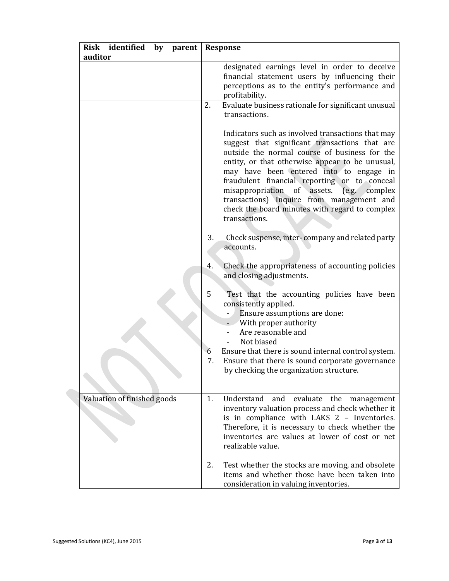| Risk identified<br>by parent<br>auditor | <b>Response</b>                                                                                                                                                                                                                                                                                                                                                                                                                                                       |  |
|-----------------------------------------|-----------------------------------------------------------------------------------------------------------------------------------------------------------------------------------------------------------------------------------------------------------------------------------------------------------------------------------------------------------------------------------------------------------------------------------------------------------------------|--|
|                                         | designated earnings level in order to deceive<br>financial statement users by influencing their<br>perceptions as to the entity's performance and<br>profitability.                                                                                                                                                                                                                                                                                                   |  |
|                                         | 2.<br>Evaluate business rationale for significant unusual<br>transactions.                                                                                                                                                                                                                                                                                                                                                                                            |  |
|                                         | Indicators such as involved transactions that may<br>suggest that significant transactions that are<br>outside the normal course of business for the<br>entity, or that otherwise appear to be unusual,<br>may have been entered into to engage in<br>fraudulent financial reporting or to conceal<br>of assets.<br>misappropriation<br>(e.g. complex<br>transactions) Inquire from management and<br>check the board minutes with regard to complex<br>transactions. |  |
|                                         | 3.<br>Check suspense, inter-company and related party<br>accounts.                                                                                                                                                                                                                                                                                                                                                                                                    |  |
|                                         | 4.<br>Check the appropriateness of accounting policies<br>and closing adjustments.                                                                                                                                                                                                                                                                                                                                                                                    |  |
|                                         | 5<br>Test that the accounting policies have been<br>consistently applied.<br>Ensure assumptions are done:<br>With proper authority<br>Are reasonable and<br>Not biased                                                                                                                                                                                                                                                                                                |  |
|                                         | Ensure that there is sound internal control system.<br>6<br>Ensure that there is sound corporate governance<br>7.<br>by checking the organization structure.                                                                                                                                                                                                                                                                                                          |  |
| Valuation of finished goods             | 1.<br>Understand<br>evaluate<br>and<br>the<br>management<br>inventory valuation process and check whether it<br>is in compliance with LAKS 2 - Inventories.<br>Therefore, it is necessary to check whether the<br>inventories are values at lower of cost or net<br>realizable value.                                                                                                                                                                                 |  |
|                                         | 2.<br>Test whether the stocks are moving, and obsolete<br>items and whether those have been taken into<br>consideration in valuing inventories.                                                                                                                                                                                                                                                                                                                       |  |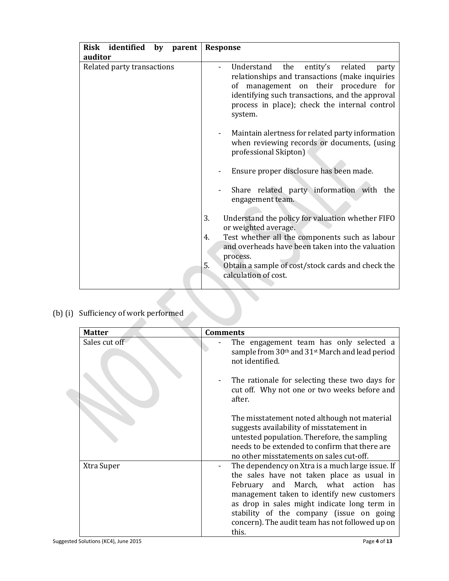| Risk identified<br>$\mathbf{b} \mathbf{y}$<br>parent<br>auditor | <b>Response</b>                                                                                                                                                                                                                                            |
|-----------------------------------------------------------------|------------------------------------------------------------------------------------------------------------------------------------------------------------------------------------------------------------------------------------------------------------|
| Related party transactions                                      | Understand<br>the<br>entity's related<br>party<br>relationships and transactions (make inquiries<br>of management on their procedure<br>for<br>identifying such transactions, and the approval<br>process in place); check the internal control<br>system. |
|                                                                 | Maintain alertness for related party information<br>when reviewing records or documents, (using<br>professional Skipton)                                                                                                                                   |
|                                                                 | Ensure proper disclosure has been made.                                                                                                                                                                                                                    |
|                                                                 | Share related party information with the<br>engagement team.                                                                                                                                                                                               |
|                                                                 | 3.<br>Understand the policy for valuation whether FIFO<br>or weighted average.                                                                                                                                                                             |
|                                                                 | Test whether all the components such as labour<br>4.<br>and overheads have been taken into the valuation<br>process.                                                                                                                                       |
|                                                                 | 5.<br>Obtain a sample of cost/stock cards and check the<br>calculation of cost.                                                                                                                                                                            |

(b) (i) Sufficiency of work performed

| <b>Matter</b> | <b>Comments</b> |                                                                                                                                                                                                                                                                                                                                                |
|---------------|-----------------|------------------------------------------------------------------------------------------------------------------------------------------------------------------------------------------------------------------------------------------------------------------------------------------------------------------------------------------------|
| Sales cut off |                 | The engagement team has only selected a<br>sample from 30 <sup>th</sup> and 31 <sup>st</sup> March and lead period<br>not identified.                                                                                                                                                                                                          |
|               |                 | The rationale for selecting these two days for<br>cut off. Why not one or two weeks before and<br>after.                                                                                                                                                                                                                                       |
|               |                 | The misstatement noted although not material<br>suggests availability of misstatement in<br>untested population. Therefore, the sampling<br>needs to be extended to confirm that there are<br>no other misstatements on sales cut-off.                                                                                                         |
| Xtra Super    |                 | The dependency on Xtra is a much large issue. If<br>the sales have not taken place as usual in<br>and March, what action has<br>February<br>management taken to identify new customers<br>as drop in sales might indicate long term in<br>stability of the company (issue on going<br>concern). The audit team has not followed up on<br>this. |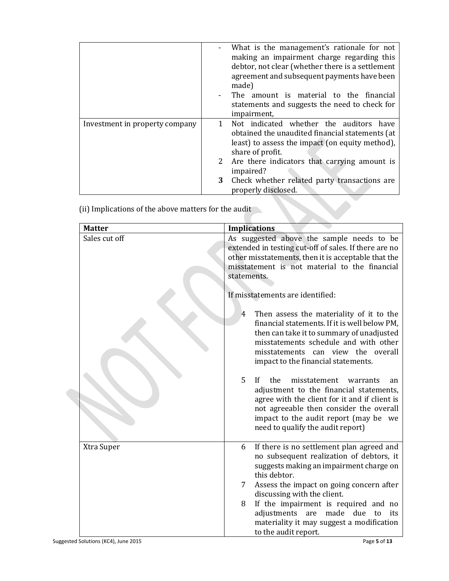|                                |                   | What is the management's rationale for not<br>making an impairment charge regarding this<br>debtor, not clear (whether there is a settlement<br>agreement and subsequent payments have been<br>made)<br>The amount is material to the financial<br>statements and suggests the need to check for<br>impairment, |
|--------------------------------|-------------------|-----------------------------------------------------------------------------------------------------------------------------------------------------------------------------------------------------------------------------------------------------------------------------------------------------------------|
| Investment in property company | $\mathbf{1}$<br>3 | Not indicated whether the auditors have<br>obtained the unaudited financial statements (at<br>least) to assess the impact (on equity method),<br>share of profit.<br>2 Are there indicators that carrying amount is<br>impaired?<br>Check whether related party transactions are<br>properly disclosed.         |

(ii) Implications of the above matters for the audit

| <b>Matter</b> | <b>Implications</b>                                                                                                                                                                                                                                                          |
|---------------|------------------------------------------------------------------------------------------------------------------------------------------------------------------------------------------------------------------------------------------------------------------------------|
| Sales cut off | As suggested above the sample needs to be<br>extended in testing cut-off of sales. If there are no<br>other misstatements, then it is acceptable that the<br>misstatement is not material to the financial<br>statements.                                                    |
|               | If misstatements are identified:                                                                                                                                                                                                                                             |
|               | Then assess the materiality of it to the<br>4<br>financial statements. If it is well below PM,<br>then can take it to summary of unadjusted<br>misstatements schedule and with other<br>misstatements can view the overall<br>impact to the financial statements.            |
|               | 5<br><b>If</b><br>the<br>misstatement<br>warrants<br>an<br>adjustment to the financial statements,<br>agree with the client for it and if client is<br>not agreeable then consider the overall<br>impact to the audit report (may be we<br>need to qualify the audit report) |
| Xtra Super    | If there is no settlement plan agreed and<br>6<br>no subsequent realization of debtors, it<br>suggests making an impairment charge on<br>this debtor.                                                                                                                        |
|               | 7<br>Assess the impact on going concern after<br>discussing with the client.                                                                                                                                                                                                 |
|               | 8<br>If the impairment is required and no<br>adjustments<br>made due<br>are<br>to<br>its<br>materiality it may suggest a modification<br>to the audit report.                                                                                                                |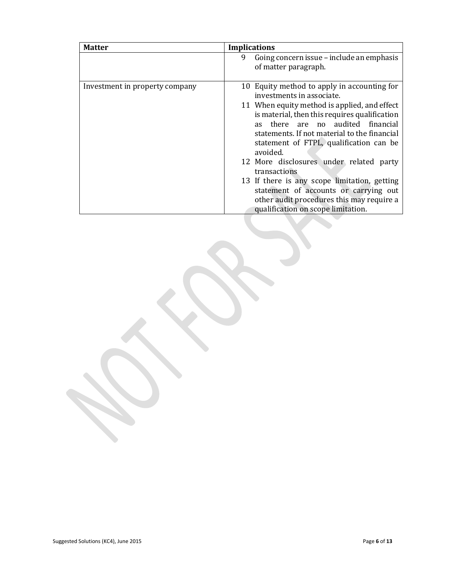| <b>Matter</b>                  | <b>Implications</b>                                                                                                                                                                                                                                |
|--------------------------------|----------------------------------------------------------------------------------------------------------------------------------------------------------------------------------------------------------------------------------------------------|
|                                | Going concern issue – include an emphasis<br>9<br>of matter paragraph.                                                                                                                                                                             |
| Investment in property company | 10 Equity method to apply in accounting for<br>investments in associate.                                                                                                                                                                           |
|                                | 11 When equity method is applied, and effect<br>is material, then this requires qualification<br>there<br>audited financial<br>are no<br>as<br>statements. If not material to the financial<br>statement of FTPL, qualification can be<br>avoided. |
|                                | 12 More disclosures under related party<br>transactions                                                                                                                                                                                            |
|                                | 13 If there is any scope limitation, getting<br>statement of accounts or carrying out<br>other audit procedures this may require a<br>qualification on scope limitation.                                                                           |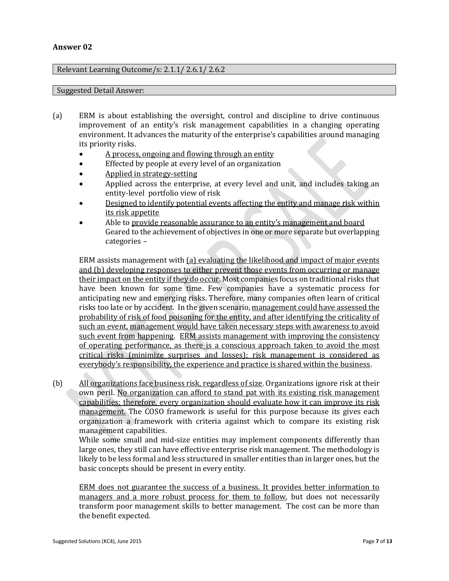#### **Answer 02**

#### Relevant Learning Outcome/s: 2.1.1/ 2.6.1/ 2.6.2

#### Suggested Detail Answer:

- (a) ERM is about establishing the oversight, control and discipline to drive continuous improvement of an entity's risk management capabilities in a changing operating environment. It advances the maturity of the enterprise's capabilities around managing its priority risks.
	- A process, ongoing and flowing through an entity
	- Effected by people at every level of an organization
	- Applied in strategy-setting
	- Applied across the enterprise, at every level and unit, and includes taking an entity-level portfolio view of risk
	- Designed to identify potential events affecting the entity and manage risk within its risk appetite
	- Able to provide reasonable assurance to an entity's management and board Geared to the achievement of objectives in one or more separate but overlapping categories –

ERM assists management with (a) evaluating the likelihood and impact of major events and (b) developing responses to either prevent those events from occurring or manage their impact on the entity if they do occur. Most companies focus on traditional risks that have been known for some time. Few companies have a systematic process for anticipating new and emerging risks. Therefore, many companies often learn of critical risks too late or by accident. In the given scenario, management could have assessed the probability of risk of food poisoning for the entity, and after identifying the criticality of such an event, management would have taken necessary steps with awareness to avoid such event from happening. ERM assists management with improving the consistency of operating performance, as there is a conscious approach taken to avoid the most critical risks (minimize surprises and losses); risk management is considered as everybody's responsibility, the experience and practice is shared within the business.

(b) All organizations face business risk, regardless of size. Organizations ignore risk at their own peril. No organization can afford to stand pat with its existing risk management capabilities; therefore, every organization should evaluate how it can improve its risk management. The COSO framework is useful for this purpose because its gives each organization a framework with criteria against which to compare its existing risk management capabilities.

While some small and mid-size entities may implement components differently than large ones, they still can have effective enterprise risk management. The methodology is likely to be less formal and less structured in smaller entities than in larger ones, but the basic concepts should be present in every entity.

ERM does not guarantee the success of a business. It provides better information to managers and a more robust process for them to follow, but does not necessarily transform poor management skills to better management. The cost can be more than the benefit expected.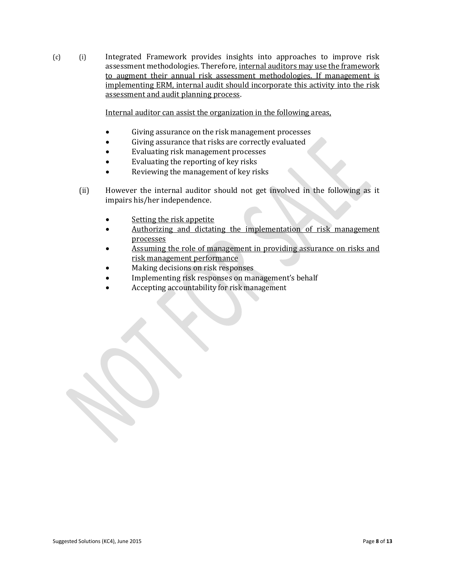(c) (i) Integrated Framework provides insights into approaches to improve risk assessment methodologies. Therefore, internal auditors may use the framework to augment their annual risk assessment methodologies. If management is implementing ERM, internal audit should incorporate this activity into the risk assessment and audit planning process.

Internal auditor can assist the organization in the following areas,

- Giving assurance on the risk management processes
- Giving assurance that risks are correctly evaluated
- Evaluating risk management processes
- Evaluating the reporting of key risks
- Reviewing the management of key risks
- (ii) However the internal auditor should not get involved in the following as it impairs his/her independence.
	- Setting the risk appetite
	- Authorizing and dictating the implementation of risk management processes
	- Assuming the role of management in providing assurance on risks and risk management performance
	- Making decisions on risk responses
	- Implementing risk responses on management's behalf
	- Accepting accountability for risk management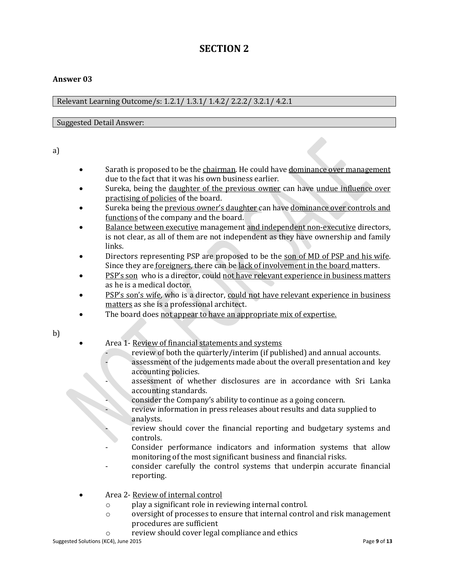### **SECTION 2**

#### **Answer 03**

#### Relevant Learning Outcome/s: 1.2.1/ 1.3.1/ 1.4.2/ 2.2.2/ 3.2.1/ 4.2.1

#### Suggested Detail Answer:

a)

- Sarath is proposed to be the chairman. He could have dominance over management due to the fact that it was his own business earlier.
- Sureka, being the daughter of the previous owner can have undue influence over practising of policies of the board.
- Sureka being the previous owner's daughter can have dominance over controls and functions of the company and the board.
- Balance between executive management and independent non-executive directors, is not clear, as all of them are not independent as they have ownership and family links.
- Directors representing PSP are proposed to be the son of MD of PSP and his wife. Since they are foreigners, there can be lack of involvement in the board matters.
- PSP's son who is a director, could not have relevant experience in business matters as he is a medical doctor.
- PSP's son's wife, who is a director, could not have relevant experience in business matters as she is a professional architect.
- The board does not appear to have an appropriate mix of expertise.

b)

- Area 1- Review of financial statements and systems
	- review of both the quarterly/interim (if published) and annual accounts.
	- assessment of the judgements made about the overall presentation and key accounting policies.
	- assessment of whether disclosures are in accordance with Sri Lanka accounting standards.
	- consider the Company's ability to continue as a going concern.
	- review information in press releases about results and data supplied to analysts.
	- review should cover the financial reporting and budgetary systems and controls.
	- Consider performance indicators and information systems that allow monitoring of the most significant business and financial risks.
	- consider carefully the control systems that underpin accurate financial reporting.
- Area 2- Review of internal control
	- o play a significant role in reviewing internal control.
	- o oversight of processes to ensure that internal control and risk management procedures are sufficient
	- o review should cover legal compliance and ethics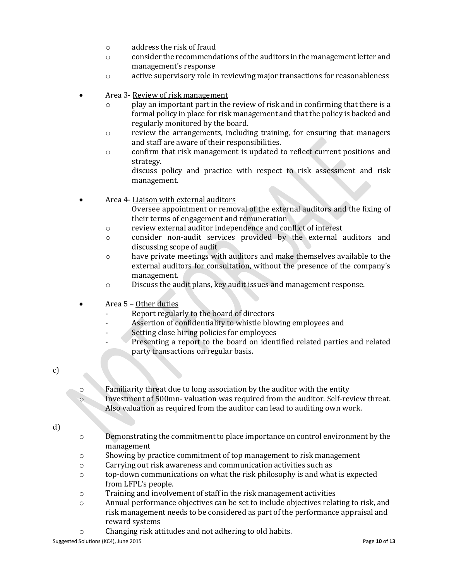- o address the risk of fraud
- o consider the recommendations of the auditors in the management letter and management's response
- o active supervisory role in reviewing major transactions for reasonableness
- Area 3- Review of risk management
	- $\circ$  play an important part in the review of risk and in confirming that there is a formal policy in place for risk management and that the policy is backed and regularly monitored by the board.
	- o review the arrangements, including training, for ensuring that managers and staff are aware of their responsibilities.
	- o confirm that risk management is updated to reflect current positions and strategy.

discuss policy and practice with respect to risk assessment and risk management.

Area 4- Liaison with external auditors

Oversee appointment or removal of the external auditors and the fixing of their terms of engagement and remuneration

- o review external auditor independence and conflict of interest
- o consider non-audit services provided by the external auditors and discussing scope of audit
- o have private meetings with auditors and make themselves available to the external auditors for consultation, without the presence of the company's management.
- o Discuss the audit plans, key audit issues and management response.
- Area 5 Other duties
	- Report regularly to the board of directors
	- Assertion of confidentiality to whistle blowing employees and
	- Setting close hiring policies for employees
	- Presenting a report to the board on identified related parties and related party transactions on regular basis.

#### c)

o Familiarity threat due to long association by the auditor with the entity o Investment of 500mn- valuation was required from the auditor. Self-review threat. Also valuation as required from the auditor can lead to auditing own work.

#### d)

- o Demonstrating the commitment to place importance on control environment by the management
- o Showing by practice commitment of top management to risk management
- o Carrying out risk awareness and communication activities such as
- o top-down communications on what the risk philosophy is and what is expected from LFPL's people.
- o Training and involvement of staff in the risk management activities
- o Annual performance objectives can be set to include objectives relating to risk, and risk management needs to be considered as part of the performance appraisal and reward systems
- o Changing risk attitudes and not adhering to old habits.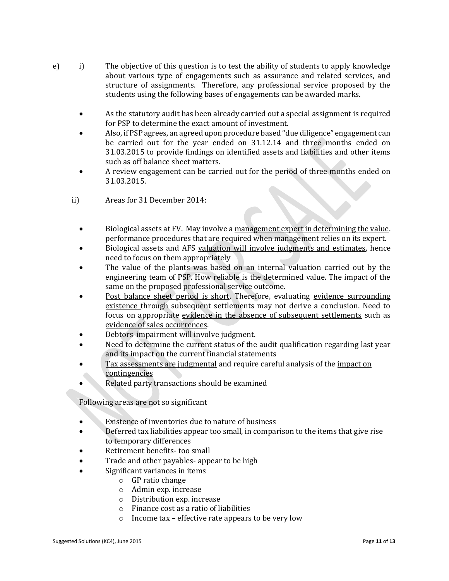- e) i) The objective of this question is to test the ability of students to apply knowledge about various type of engagements such as assurance and related services, and structure of assignments. Therefore, any professional service proposed by the students using the following bases of engagements can be awarded marks.
	- As the statutory audit has been already carried out a special assignment is required for PSP to determine the exact amount of investment.
	- Also, if PSP agrees, an agreed upon procedure based "due diligence" engagement can be carried out for the year ended on 31.12.14 and three months ended on 31.03.2015 to provide findings on identified assets and liabilities and other items such as off balance sheet matters.
	- A review engagement can be carried out for the period of three months ended on 31.03.2015.
	- ii) Areas for 31 December 2014:
		- Biological assets at FV. May involve a management expert in determining the value. performance procedures that are required when management relies on its expert.
		- Biological assets and AFS valuation will involve judgments and estimates, hence need to focus on them appropriately
		- The value of the plants was based on an internal valuation carried out by the engineering team of PSP. How reliable is the determined value. The impact of the same on the proposed professional service outcome.
		- Post balance sheet period is short. Therefore, evaluating evidence surrounding existence through subsequent settlements may not derive a conclusion. Need to focus on appropriate evidence in the absence of subsequent settlements such as evidence of sales occurrences.
		- Debtors impairment will involve judgment.
		- Need to determine the current status of the audit qualification regarding last year and its impact on the current financial statements
		- Tax assessments are judgmental and require careful analysis of the impact on contingencies
		- Related party transactions should be examined

Following areas are not so significant

- Existence of inventories due to nature of business
- Deferred tax liabilities appear too small, in comparison to the items that give rise to temporary differences
- Retirement benefits- too small
- Trade and other payables- appear to be high
	- Significant variances in items
		- o GP ratio change
		- o Admin exp. increase
		- o Distribution exp. increase
		- o Finance cost as a ratio of liabilities
		- o Income tax effective rate appears to be very low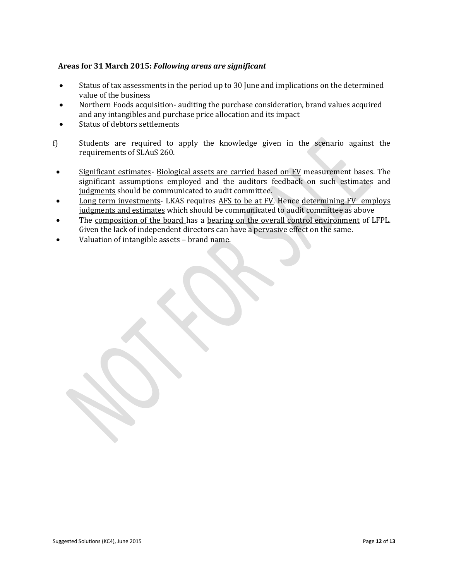#### **Areas for 31 March 2015:** *Following areas are significant*

- Status of tax assessments in the period up to 30 June and implications on the determined value of the business
- Northern Foods acquisition- auditing the purchase consideration, brand values acquired and any intangibles and purchase price allocation and its impact
- Status of debtors settlements
- f) Students are required to apply the knowledge given in the scenario against the requirements of SLAuS 260.
- Significant estimates- Biological assets are carried based on FV measurement bases. The significant assumptions employed and the auditors feedback on such estimates and judgments should be communicated to audit committee.
- Long term investments- LKAS requires AFS to be at FV. Hence determining FV employs judgments and estimates which should be communicated to audit committee as above
- The composition of the board has a bearing on the overall control environment of LFPL. Given the lack of independent directors can have a pervasive effect on the same.
- Valuation of intangible assets brand name.